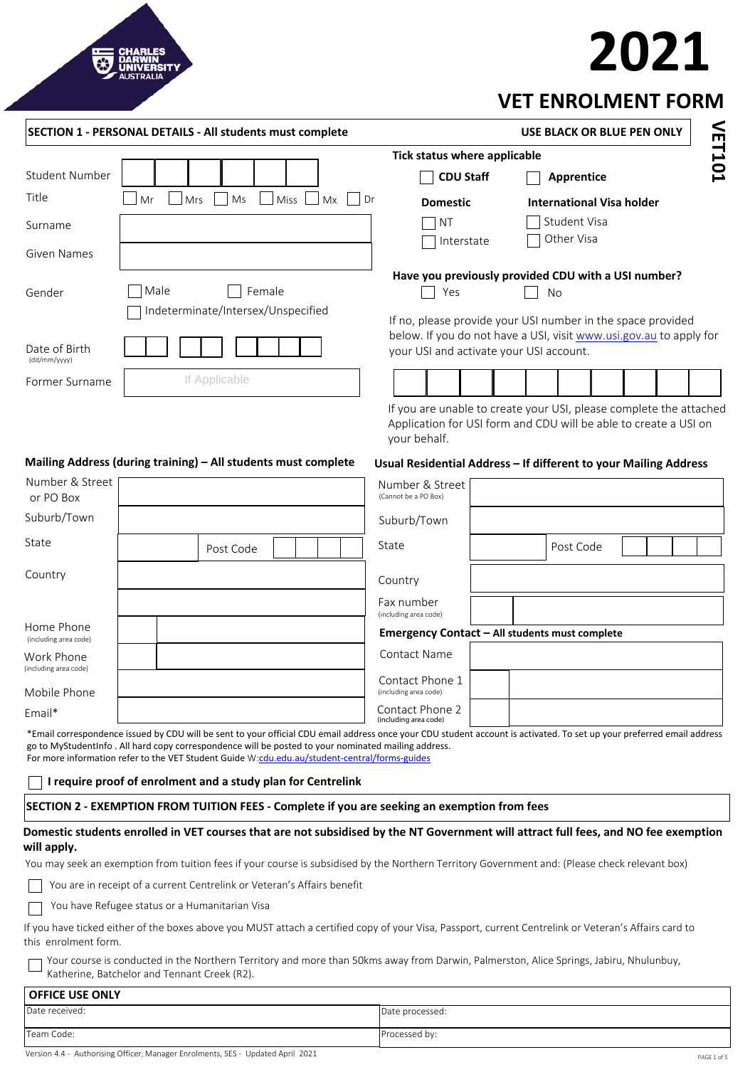# **2021**



|                                     | <b>SECTION 1 - PERSONAL DETAILS - All students must complete</b>                                                                                                                                                                                                                                                                                                               |                                                                                                                                                        | <b>USE BLACK OR BLUE PEN ONLY</b> |  |        |
|-------------------------------------|--------------------------------------------------------------------------------------------------------------------------------------------------------------------------------------------------------------------------------------------------------------------------------------------------------------------------------------------------------------------------------|--------------------------------------------------------------------------------------------------------------------------------------------------------|-----------------------------------|--|--------|
|                                     |                                                                                                                                                                                                                                                                                                                                                                                | Tick status where applicable                                                                                                                           |                                   |  | VET101 |
| <b>Student Number</b>               |                                                                                                                                                                                                                                                                                                                                                                                | <b>CDU Staff</b>                                                                                                                                       | Apprentice                        |  |        |
| Title                               | Mr<br>Ms<br><b>Miss</b><br>Mrs<br>Mx<br>Dr                                                                                                                                                                                                                                                                                                                                     | <b>Domestic</b>                                                                                                                                        | <b>International Visa holder</b>  |  |        |
| Surname                             |                                                                                                                                                                                                                                                                                                                                                                                | <b>NT</b>                                                                                                                                              | Student Visa                      |  |        |
| <b>Given Names</b>                  |                                                                                                                                                                                                                                                                                                                                                                                | Interstate                                                                                                                                             | Other Visa                        |  |        |
| Gender                              | Male<br>Female<br>Indeterminate/Intersex/Unspecified                                                                                                                                                                                                                                                                                                                           | Have you previously provided CDU with a USI number?<br>Yes<br>If no, please provide your USI number in the space provided                              | No                                |  |        |
| Date of Birth<br>(dd/mm/yyyy)       |                                                                                                                                                                                                                                                                                                                                                                                | below. If you do not have a USI, visit www.usi.gov.au to apply for<br>your USI and activate your USI account.                                          |                                   |  |        |
| Former Surname                      | If Applicable                                                                                                                                                                                                                                                                                                                                                                  |                                                                                                                                                        |                                   |  |        |
|                                     |                                                                                                                                                                                                                                                                                                                                                                                | If you are unable to create your USI, please complete the attached<br>Application for USI form and CDU will be able to create a USI on<br>your behalf. |                                   |  |        |
|                                     | Mailing Address (during training) - All students must complete                                                                                                                                                                                                                                                                                                                 | Usual Residential Address - If different to your Mailing Address                                                                                       |                                   |  |        |
| Number & Street<br>or PO Box        |                                                                                                                                                                                                                                                                                                                                                                                | Number & Street<br>(Cannot be a PO Box)                                                                                                                |                                   |  |        |
| Suburb/Town                         |                                                                                                                                                                                                                                                                                                                                                                                | Suburb/Town                                                                                                                                            |                                   |  |        |
| State                               | Post Code                                                                                                                                                                                                                                                                                                                                                                      | State                                                                                                                                                  | Post Code                         |  |        |
| Country                             |                                                                                                                                                                                                                                                                                                                                                                                | Country                                                                                                                                                |                                   |  |        |
|                                     |                                                                                                                                                                                                                                                                                                                                                                                | Fax number<br>(including area code)                                                                                                                    |                                   |  |        |
| Home Phone<br>(including area code) |                                                                                                                                                                                                                                                                                                                                                                                | Emergency Contact - All students must complete                                                                                                         |                                   |  |        |
| Work Phone<br>(including area code) |                                                                                                                                                                                                                                                                                                                                                                                | Contact Name                                                                                                                                           |                                   |  |        |
| Mobile Phone                        |                                                                                                                                                                                                                                                                                                                                                                                | Contact Phone 1<br>(including area code)                                                                                                               |                                   |  |        |
| Email*                              |                                                                                                                                                                                                                                                                                                                                                                                | Contact Phone 2<br>(including area code)                                                                                                               |                                   |  |        |
|                                     | *Email correspondence issued by CDU will be sent to your official CDU email address once your CDU student account is activated. To set up your preferred email address<br>go to MyStudentInfo. All hard copy correspondence will be posted to your nominated mailing address.<br>For more information refer to the VET Student Guide W:cdu.edu.au/student-central/forms-guides |                                                                                                                                                        |                                   |  |        |
|                                     | I require proof of enrolment and a study plan for Centrelink                                                                                                                                                                                                                                                                                                                   |                                                                                                                                                        |                                   |  |        |
|                                     | SECTION 2 - EXEMPTION FROM TUITION FEES - Complete if you are seeking an exemption from fees                                                                                                                                                                                                                                                                                   |                                                                                                                                                        |                                   |  |        |
| will apply.                         | Domestic students enrolled in VET courses that are not subsidised by the NT Government will attract full fees, and NO fee exemption                                                                                                                                                                                                                                            |                                                                                                                                                        |                                   |  |        |
|                                     | You may seek an exemption from tuition fees if your course is subsidised by the Northern Territory Government and: (Please check relevant box)                                                                                                                                                                                                                                 |                                                                                                                                                        |                                   |  |        |
|                                     | You are in receipt of a current Centrelink or Veteran's Affairs benefit                                                                                                                                                                                                                                                                                                        |                                                                                                                                                        |                                   |  |        |
|                                     | You have Refugee status or a Humanitarian Visa                                                                                                                                                                                                                                                                                                                                 |                                                                                                                                                        |                                   |  |        |
| this enrolment form.                | If you have ticked either of the boxes above you MUST attach a certified copy of your Visa, Passport, current Centrelink or Veteran's Affairs card to                                                                                                                                                                                                                          |                                                                                                                                                        |                                   |  |        |
|                                     | Your course is conducted in the Northern Territory and more than 50kms away from Darwin, Palmerston, Alice Springs, Jabiru, Nhulunbuy,<br>Katherine, Batchelor and Tennant Creek (R2).                                                                                                                                                                                         |                                                                                                                                                        |                                   |  |        |
| <b>OFFICE USE ONLY</b>              |                                                                                                                                                                                                                                                                                                                                                                                |                                                                                                                                                        |                                   |  |        |
| Date received:                      |                                                                                                                                                                                                                                                                                                                                                                                | Date processed:                                                                                                                                        |                                   |  |        |
| Team Code:                          |                                                                                                                                                                                                                                                                                                                                                                                | Processed by:                                                                                                                                          |                                   |  |        |

Version 4.4 - Authorising Officer; Manager Enrolments, SES - Updated April 2021 PAGE 1015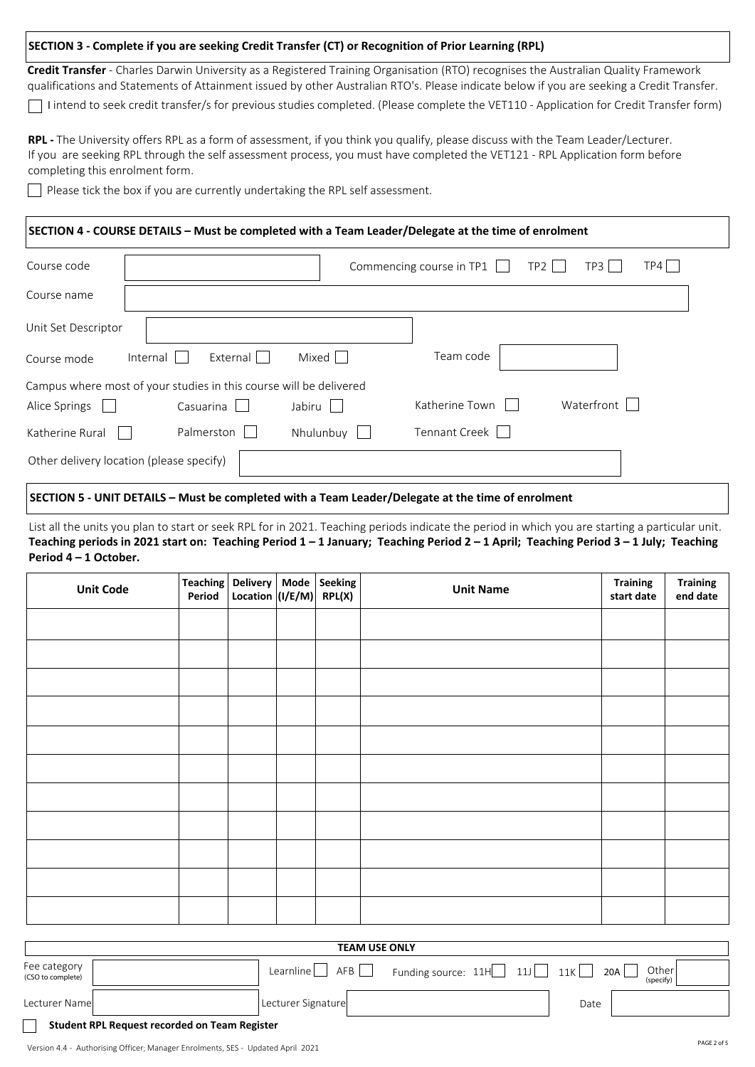### **SECTION 3 - Complete if you are seeking Credit Transfer (CT) or Recognition of Prior Learning (RPL)**

I intend to seek credit transfer/s for previous studies completed. (Please complete the VET110 - Application for Credit Transfer form) **Credit Transfer** - Charles Darwin University as a Registered Training Organisation (RTO) recognises the Australian Quality Framework qualifications and Statements of Attainment issued by other Australian RTO's. Please indicate below if you are seeking a Credit Transfer.

**RPL -** The University offers RPL as a form of assessment, if you think you qualify, please discuss with the Team Leader/Lecturer. If you are seeking RPL through the self assessment process, you must have completed the VET121 - RPL Application form before completing this enrolment form.

Please tick the box if you are currently undertaking the RPL self assessment.

#### **SECTION 4 - COURSE DETAILS – Must be completed with a Team Leader/Delegate at the time of enrolment**

| Course code                                                        |                      |           | Commencing course in TP1<br>TP2 | TP3<br>TP4 I |  |  |  |  |
|--------------------------------------------------------------------|----------------------|-----------|---------------------------------|--------------|--|--|--|--|
| Course name                                                        |                      |           |                                 |              |  |  |  |  |
| Unit Set Descriptor                                                |                      |           |                                 |              |  |  |  |  |
| Course mode                                                        | External<br>Internal | Mixed     | Team code                       |              |  |  |  |  |
| Campus where most of your studies in this course will be delivered |                      |           |                                 |              |  |  |  |  |
| Alice Springs                                                      | Casuarina            | Jabiru    | Katherine Town                  | Waterfront   |  |  |  |  |
| Katherine Rural                                                    | Palmerston           | Nhulunbuy | Tennant Creek                   |              |  |  |  |  |
| Other delivery location (please specify)                           |                      |           |                                 |              |  |  |  |  |

#### **SECTION 5 - UNIT DETAILS – Must be completed with a Team Leader/Delegate at the time of enrolment**

List all the units you plan to start or seek RPL for in 2021. Teaching periods indicate the period in which you are starting a particular unit. **Teaching periods in 2021 start on: Teaching Period 1 – 1 January; Teaching Period 2 – 1 April; Teaching Period 3 – 1 July; Teaching Period 4 – 1 October.** 

| <b>Unit Code</b> | Teaching Delivery   Mode   Seeking<br>Period | Location $\vert (I/E/M) \vert$ RPL(X) |  | <b>Unit Name</b> | <b>Training</b><br>start date | <b>Training</b><br>end date |
|------------------|----------------------------------------------|---------------------------------------|--|------------------|-------------------------------|-----------------------------|
|                  |                                              |                                       |  |                  |                               |                             |
|                  |                                              |                                       |  |                  |                               |                             |
|                  |                                              |                                       |  |                  |                               |                             |
|                  |                                              |                                       |  |                  |                               |                             |
|                  |                                              |                                       |  |                  |                               |                             |
|                  |                                              |                                       |  |                  |                               |                             |
|                  |                                              |                                       |  |                  |                               |                             |
|                  |                                              |                                       |  |                  |                               |                             |
|                  |                                              |                                       |  |                  |                               |                             |
|                  |                                              |                                       |  |                  |                               |                             |
|                  |                                              |                                       |  |                  |                               |                             |

| <b>TEAM USE ONLY</b>                          |                    |                             |      |                           |  |  |  |
|-----------------------------------------------|--------------------|-----------------------------|------|---------------------------|--|--|--|
| Fee category<br>(CSO to complete)             | AFB<br>Learnline l | Funding source: 11H<br> 111 | 11K  | Other<br>20A<br>(specify) |  |  |  |
| Lecturer Namel                                | Lecturer Signature |                             | Date |                           |  |  |  |
| Student RPL Request recorded on Team Register |                    |                             |      |                           |  |  |  |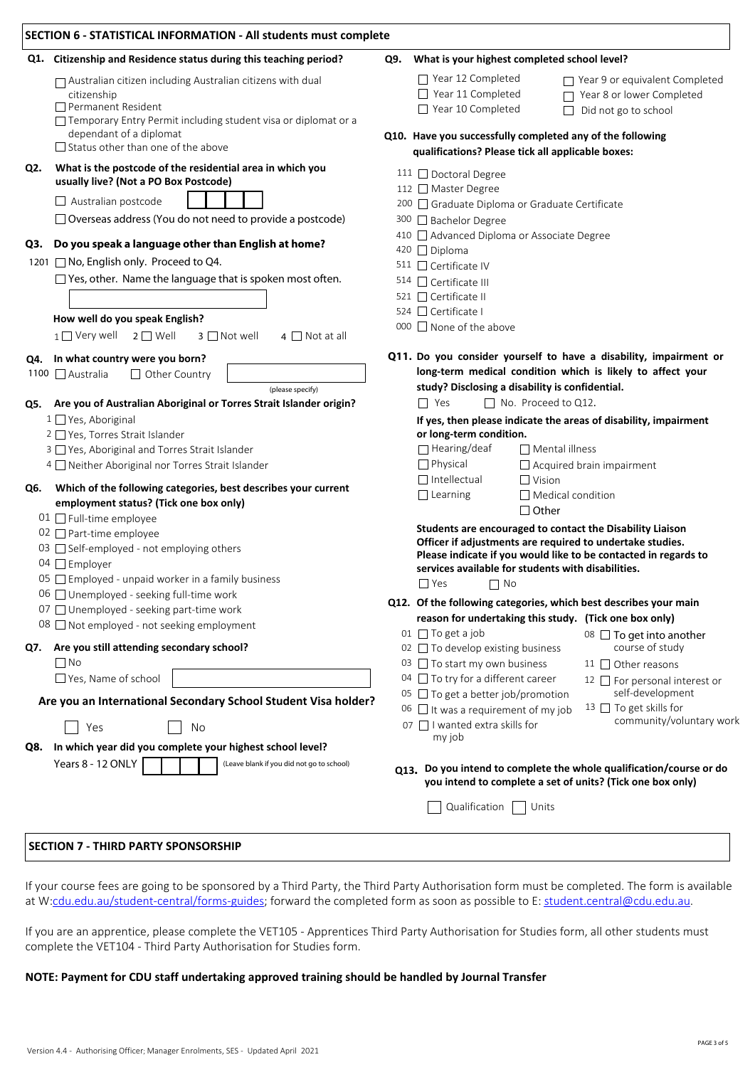|     | Q1. Citizenship and Residence status during this teaching period?                                                                                                                                                                   | What is your highest completed school level?<br>Q9.                                                                                                                                                                                                                                                                                                                                                                                              |  |  |  |
|-----|-------------------------------------------------------------------------------------------------------------------------------------------------------------------------------------------------------------------------------------|--------------------------------------------------------------------------------------------------------------------------------------------------------------------------------------------------------------------------------------------------------------------------------------------------------------------------------------------------------------------------------------------------------------------------------------------------|--|--|--|
|     | $\Box$ Australian citizen including Australian citizens with dual<br>citizenship<br>Permanent Resident<br>□ Temporary Entry Permit including student visa or diplomat or a                                                          | $\Box$ Year 12 Completed<br>$\Box$ Year 9 or equivalent Completed<br>$\Box$ Year 11 Completed<br>Year 8 or lower Completed<br>$\Box$ Year 10 Completed<br>Did not go to school<br>$\Box$                                                                                                                                                                                                                                                         |  |  |  |
|     | dependant of a diplomat<br>$\Box$ Status other than one of the above                                                                                                                                                                | Q10. Have you successfully completed any of the following<br>qualifications? Please tick all applicable boxes:                                                                                                                                                                                                                                                                                                                                   |  |  |  |
| Q2. | What is the postcode of the residential area in which you<br>usually live? (Not a PO Box Postcode)                                                                                                                                  | 111 □ Doctoral Degree                                                                                                                                                                                                                                                                                                                                                                                                                            |  |  |  |
|     | $\Box$ Australian postcode                                                                                                                                                                                                          | 112 Master Degree                                                                                                                                                                                                                                                                                                                                                                                                                                |  |  |  |
|     | $\Box$ Overseas address (You do not need to provide a postcode)                                                                                                                                                                     | 200 □ Graduate Diploma or Graduate Certificate<br>300 □ Bachelor Degree                                                                                                                                                                                                                                                                                                                                                                          |  |  |  |
|     | Q3. Do you speak a language other than English at home?                                                                                                                                                                             | 410 Advanced Diploma or Associate Degree                                                                                                                                                                                                                                                                                                                                                                                                         |  |  |  |
|     | 1201 □ No, English only. Proceed to Q4.                                                                                                                                                                                             | 420 □ Diploma                                                                                                                                                                                                                                                                                                                                                                                                                                    |  |  |  |
|     | $\Box$ Yes, other. Name the language that is spoken most often.                                                                                                                                                                     | 511 □ Certificate IV                                                                                                                                                                                                                                                                                                                                                                                                                             |  |  |  |
|     |                                                                                                                                                                                                                                     | $514$ $\Box$ Certificate III<br>521 □ Certificate II                                                                                                                                                                                                                                                                                                                                                                                             |  |  |  |
|     |                                                                                                                                                                                                                                     | 524 Certificate I                                                                                                                                                                                                                                                                                                                                                                                                                                |  |  |  |
|     | How well do you speak English?                                                                                                                                                                                                      | 000 $\Box$ None of the above                                                                                                                                                                                                                                                                                                                                                                                                                     |  |  |  |
|     | $1 \square$ Very well<br>$2 \square$ Well<br>$3$ $\Box$ Not well<br>$4 \Box$ Not at all                                                                                                                                             |                                                                                                                                                                                                                                                                                                                                                                                                                                                  |  |  |  |
|     | Q4. In what country were you born?                                                                                                                                                                                                  | Q11. Do you consider yourself to have a disability, impairment or                                                                                                                                                                                                                                                                                                                                                                                |  |  |  |
|     | 1100 □ Australia<br>Other Country                                                                                                                                                                                                   | long-term medical condition which is likely to affect your                                                                                                                                                                                                                                                                                                                                                                                       |  |  |  |
|     | (please specify)                                                                                                                                                                                                                    | study? Disclosing a disability is confidential.                                                                                                                                                                                                                                                                                                                                                                                                  |  |  |  |
| Q5. | Are you of Australian Aboriginal or Torres Strait Islander origin?                                                                                                                                                                  | □ No. Proceed to Q12.<br>$\Box$ Yes                                                                                                                                                                                                                                                                                                                                                                                                              |  |  |  |
|     | 1 □ Yes, Aboriginal<br>2 □ Yes, Torres Strait Islander<br>3 Yes, Aboriginal and Torres Strait Islander<br>4 Neither Aboriginal nor Torres Strait Islander                                                                           | If yes, then please indicate the areas of disability, impairment<br>or long-term condition.<br>$\Box$ Hearing/deaf<br>$\Box$ Mental illness<br>$\Box$ Physical<br>$\Box$ Acquired brain impairment                                                                                                                                                                                                                                               |  |  |  |
| Q6. | Which of the following categories, best describes your current<br>employment status? (Tick one box only)                                                                                                                            | $\Box$ Intellectual<br>$\Box$ Vision<br>$\Box$ Learning<br>$\Box$ Medical condition<br>$\Box$ Other                                                                                                                                                                                                                                                                                                                                              |  |  |  |
|     | 01 □ Full-time employee<br>02 □ Part-time employee<br>03 □ Self-employed - not employing others<br>04 $\Box$ Employer<br>05 <b>Figure 1</b> Employed - unpaid worker in a family business<br>06 Unemployed - seeking full-time work | Students are encouraged to contact the Disability Liaison<br>Officer if adjustments are required to undertake studies.<br>Please indicate if you would like to be contacted in regards to<br>services available for students with disabilities.<br>$\Box$ Yes<br>$\Box$ No                                                                                                                                                                       |  |  |  |
|     | 07 □ Unemployed - seeking part-time work                                                                                                                                                                                            | Q12. Of the following categories, which best describes your main                                                                                                                                                                                                                                                                                                                                                                                 |  |  |  |
|     | 08 $\Box$ Not employed - not seeking employment                                                                                                                                                                                     | reason for undertaking this study. (Tick one box only)                                                                                                                                                                                                                                                                                                                                                                                           |  |  |  |
|     | Q7. Are you still attending secondary school?<br>$\Box$ No<br>$\Box$ Yes, Name of school<br>Are you an International Secondary School Student Visa holder?<br>Yes<br>No                                                             | 01 $\Box$ To get a job<br>08 □ To get into another<br>course of study<br>02 □ To develop existing business<br>03 □ To start my own business<br>11 □ Other reasons<br>04 □ To try for a different career<br>12 <b>For personal interest or</b><br>self-development<br>05 □ To get a better job/promotion<br>13 □ To get skills for<br>06 $\Box$ It was a requirement of my job<br>community/voluntary work<br>07 $\Box$ I wanted extra skills for |  |  |  |
| Q8. | In which year did you complete your highest school level?                                                                                                                                                                           | my job                                                                                                                                                                                                                                                                                                                                                                                                                                           |  |  |  |
|     | Years 8 - 12 ONLY<br>(Leave blank if you did not go to school)                                                                                                                                                                      | Q13. Do you intend to complete the whole qualification/course or do<br>you intend to complete a set of units? (Tick one box only)                                                                                                                                                                                                                                                                                                                |  |  |  |
|     |                                                                                                                                                                                                                                     |                                                                                                                                                                                                                                                                                                                                                                                                                                                  |  |  |  |

#### **SECTION 7 - THIRD PARTY SPONSORSHIP**

If your course fees are going to be sponsored by a Third Party, the Third Party Authorisation form must be completed. The form is available at W:[cdu.edu.au/student-central/forms-guides](https://www.cdu.edu.au/student-central/forms-guides); forward the completed form as soon as possible to E: [student.central@cdu.edu.au](mailto:student.central@cdu.edu.au).

If you are an apprentice, please complete the VET105 - Apprentices Third Party Authorisation for Studies form, all other students must complete the VET104 - Third Party Authorisation for Studies form.

### **NOTE: Payment for CDU staff undertaking approved training should be handled by Journal Transfer**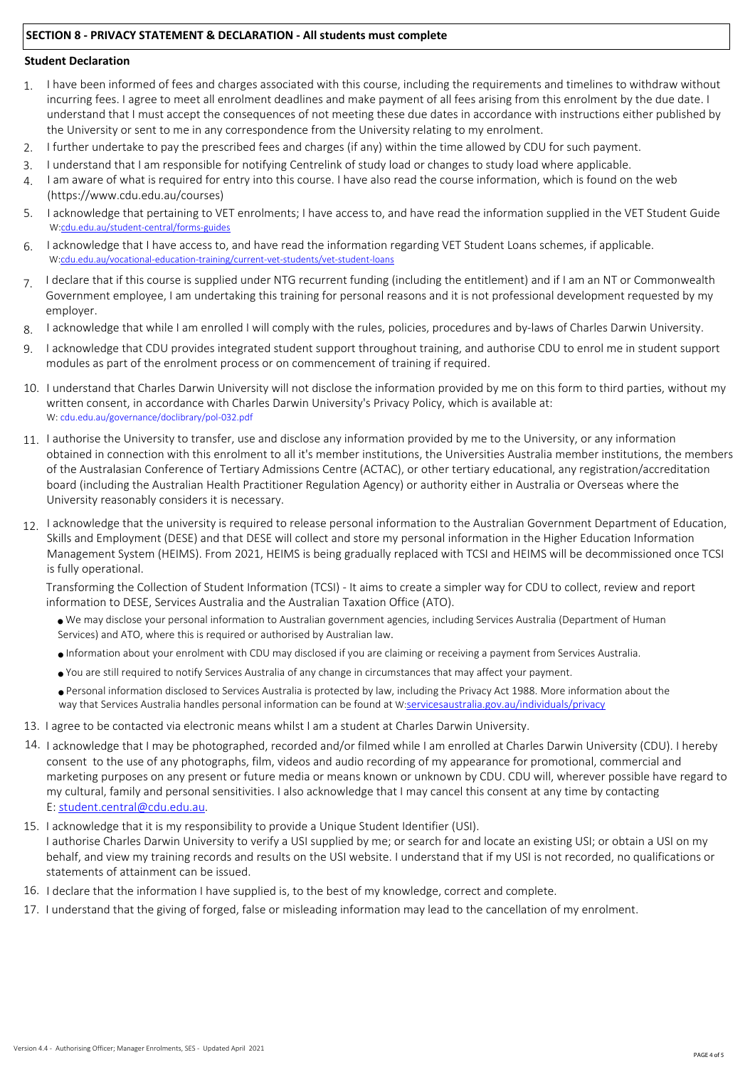## **SECTION 8 - PRIVACY STATEMENT & DECLARATION - All students must complete**

#### **Student Declaration**

- I have been informed of fees and charges associated with this course, including the requirements and timelines to withdraw without incurring fees. I agree to meet all enrolment deadlines and make payment of all fees arising from this enrolment by the due date. I understand that I must accept the consequences of not meeting these due dates in accordance with instructions either published by the University or sent to me in any correspondence from the University relating to my enrolment. 1.
- I further undertake to pay the prescribed fees and charges (if any) within the time allowed by CDU for such payment. 2.
- I understand that I am responsible for notifying Centrelink of study load or changes to study load where applicable. 3.
- I am aware of what is required for entry into this course. I have also read the course information, which is found on the web (https://www.cdu.edu.au/courses) 4.
- 5. I acknowledge that pertaining to VET enrolments; I have access to, and have read the information supplied in the VET Student Guide W[:cdu.edu.au/student-central/forms-guides](https://www.cdu.edu.au/student-central/forms-guides)
- I acknowledge that I have access to, and have read the information regarding VET Student Loans schemes, if applicable. W:[cdu.edu.au/vocational-education-training/current-vet-students/vet-student-loans](https://www.cdu.edu.au/vocational-education-training/current-vet-students/vet-student-loans) 6.
- I declare that if this course is supplied under NTG recurrent funding (including the entitlement) and if I am an NT or Commonwealth Government employee, I am undertaking this training for personal reasons and it is not professional development requested by my employer. 7.
- I acknowledge that while I am enrolled I will comply with the rules, policies, procedures and by-laws of Charles Darwin University. 8.
- 9. I acknowledge that CDU provides integrated student support throughout training, and authorise CDU to enrol me in student support modules as part of the enrolment process or on commencement of training if required.
- 10. I understand that Charles Darwin University will not disclose the information provided by me on this form to third parties, without my written consent, in accordance with Charles Darwin University's Privacy Policy, which is available at: W: [cdu.edu.au/governance/doclibrary/pol-032.pdf](http://www.cdu.edu.au/governance/doclibrary/pol-032.pdf)
- 11. I authorise the University to transfer, use and disclose any information provided by me to the University, or any information obtained in connection with this enrolment to all it's member institutions, the Universities Australia member institutions, the members of the Australasian Conference of Tertiary Admissions Centre (ACTAC), or other tertiary educational, any registration/accreditation board (including the Australian Health Practitioner Regulation Agency) or authority either in Australia or Overseas where the University reasonably considers it is necessary.
- 12. I acknowledge that the university is required to release personal information to the Australian Government Department of Education, Skills and Employment (DESE) and that DESE will collect and store my personal information in the Higher Education Information Management System (HEIMS). From 2021, HEIMS is being gradually replaced with TCSI and HEIMS will be decommissioned once TCSI is fully operational.

Transforming the Collection of Student Information (TCSI) - It aims to create a simpler way for CDU to collect, review and report information to DESE, Services Australia and the Australian Taxation Office (ATO).

- <sup>n</sup> We may disclose your personal information to Australian government agencies, including Services Australia (Department of Human Services) and ATO, where this is required or authorised by Australian law.
- <sup>n</sup>Information about your enrolment with CDU may disclosed if you are claiming or receiving a payment from Services Australia.
- <sup>n</sup>You are still required to notify Services Australia of any change in circumstances that may affect your payment.

<sup>n</sup>Personal information disclosed to Services Australia is protected by law, including the Privacy Act 1988. More information about the way that Services Australia handles personal information can be found at W:[servicesaustralia.gov.au/individuals/privacy](https://www.servicesaustralia.gov.au/individuals/privacy)

- 13. I agree to be contacted via electronic means whilst I am a student at Charles Darwin University.
- 14. I acknowledge that I may be photographed, recorded and/or filmed while I am enrolled at Charles Darwin University (CDU). I hereby consent to the use of any photographs, film, videos and audio recording of my appearance for promotional, commercial and marketing purposes on any present or future media or means known or unknown by CDU. CDU will, wherever possible have regard to my cultural, family and personal sensitivities. I also acknowledge that I may cancel this consent at any time by contacting E: [student.central@cdu.edu.au.](mailto:student.central@cdu.edu.au)
- 15. I acknowledge that it is my responsibility to provide a Unique Student Identifier (USI). I authorise Charles Darwin University to verify a USI supplied by me; or search for and locate an existing USI; or obtain a USI on my behalf, and view my training records and results on the USI website. I understand that if my USI is not recorded, no qualifications or statements of attainment can be issued.
- 16. I declare that the information I have supplied is, to the best of my knowledge, correct and complete.
- 17. I understand that the giving of forged, false or misleading information may lead to the cancellation of my enrolment.